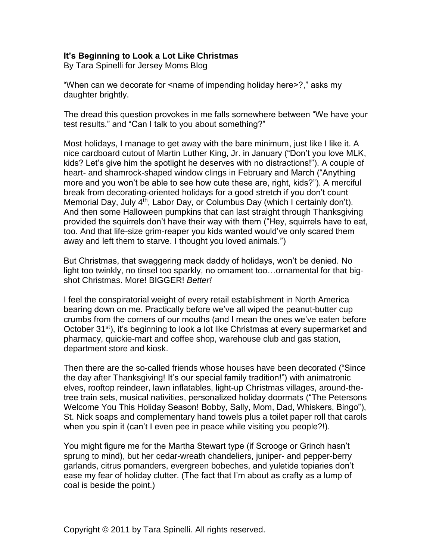## **It's Beginning to Look a Lot Like Christmas**

By Tara Spinelli for Jersey Moms Blog

"When can we decorate for <name of impending holiday here>?," asks my daughter brightly.

The dread this question provokes in me falls somewhere between "We have your test results." and "Can I talk to you about something?"

Most holidays, I manage to get away with the bare minimum, just like I like it. A nice cardboard cutout of Martin Luther King, Jr. in January ("Don't you love MLK, kids? Let's give him the spotlight he deserves with no distractions!"). A couple of heart- and shamrock-shaped window clings in February and March ("Anything more and you won't be able to see how cute these are, right, kids?"). A merciful break from decorating-oriented holidays for a good stretch if you don't count Memorial Day, July 4<sup>th</sup>, Labor Day, or Columbus Day (which I certainly don't). And then some Halloween pumpkins that can last straight through Thanksgiving provided the squirrels don't have their way with them ("Hey, squirrels have to eat, too. And that life-size grim-reaper you kids wanted would've only scared them away and left them to starve. I thought you loved animals.")

But Christmas, that swaggering mack daddy of holidays, won't be denied. No light too twinkly, no tinsel too sparkly, no ornament too…ornamental for that bigshot Christmas. More! BIGGER! *Better!*

I feel the conspiratorial weight of every retail establishment in North America bearing down on me. Practically before we've all wiped the peanut-butter cup crumbs from the corners of our mouths (and I mean the ones we've eaten before October 31<sup>st</sup>), it's beginning to look a lot like Christmas at every supermarket and pharmacy, quickie-mart and coffee shop, warehouse club and gas station, department store and kiosk.

Then there are the so-called friends whose houses have been decorated ("Since the day after Thanksgiving! It's our special family tradition!") with animatronic elves, rooftop reindeer, lawn inflatables, light-up Christmas villages, around-thetree train sets, musical nativities, personalized holiday doormats ("The Petersons Welcome You This Holiday Season! Bobby, Sally, Mom, Dad, Whiskers, Bingo"), St. Nick soaps and complementary hand towels plus a toilet paper roll that carols when you spin it (can't I even pee in peace while visiting you people?!).

You might figure me for the Martha Stewart type (if Scrooge or Grinch hasn't sprung to mind), but her cedar-wreath chandeliers, juniper- and pepper-berry garlands, citrus pomanders, evergreen bobeches, and yuletide topiaries don't ease my fear of holiday clutter. (The fact that I'm about as crafty as a lump of coal is beside the point.)